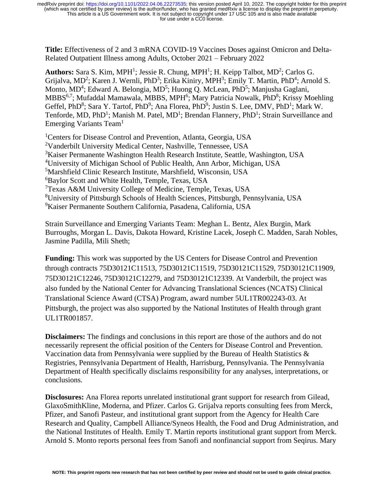**Title:** Effectiveness of 2 and 3 mRNA COVID-19 Vaccines Doses against Omicron and Delta-Related Outpatient Illness among Adults, October 2021 – February 2022

Authors: Sara S. Kim, MPH<sup>1</sup>; Jessie R. Chung, MPH<sup>1</sup>; H. Keipp Talbot, MD<sup>2</sup>; Carlos G. Grijalva, MD<sup>2</sup>; Karen J. Wernli, PhD<sup>3</sup>; Erika Kiniry, MPH<sup>3</sup>; Emily T. Martin, PhD<sup>4</sup>; Arnold S. Monto, MD<sup>4</sup>; Edward A. Belongia, MD<sup>5</sup>; Huong Q. McLean, PhD<sup>5</sup>; Manjusha Gaglani, MBBS<sup>6,7</sup>; Mufaddal Mamawala, MBBS, MPH<sup>6</sup>; Mary Patricia Nowalk, PhD<sup>8</sup>; Krissy Moehling Geffel, PhD<sup>8</sup>; Sara Y. Tartof, PhD<sup>9</sup>; Ana Florea, PhD<sup>9</sup>; Justin S. Lee, DMV, PhD<sup>1</sup>; Mark W. Tenforde, MD, PhD<sup>1</sup>; Manish M. Patel, MD<sup>1</sup>; Brendan Flannery, PhD<sup>1</sup>; Strain Surveillance and Emerging Variants Team<sup>1</sup>

<sup>1</sup> Centers for Disease Control and Prevention, Atlanta, Georgia, USA Vanderbilt University Medical Center, Nashville, Tennessee, USA Kaiser Permanente Washington Health Research Institute, Seattle, Washington, USA University of Michigan School of Public Health, Ann Arbor, Michigan, USA Marshfield Clinic Research Institute, Marshfield, Wisconsin, USA <sup>6</sup>Baylor Scott and White Health, Temple, Texas, USA Texas A&M University College of Medicine, Temple, Texas, USA University of Pittsburgh Schools of Health Sciences, Pittsburgh, Pennsylvania, USA Kaiser Permanente Southern California, Pasadena, California, USA

Strain Surveillance and Emerging Variants Team: Meghan L. Bentz, Alex Burgin, Mark Burroughs, Morgan L. Davis, Dakota Howard, Kristine Lacek, Joseph C. Madden, Sarah Nobles, Jasmine Padilla, Mili Sheth;

**Funding:** This work was supported by the US Centers for Disease Control and Prevention through contracts 75D30121C11513, 75D30121C11519, 75D30121C11529, 75D30121C11909, 75D30121C12246, 75D30121C12279, and 75D30121C12339. At Vanderbilt, the project was also funded by the National Center for Advancing Translational Sciences (NCATS) Clinical Translational Science Award (CTSA) Program, award number 5UL1TR002243-03. At Pittsburgh, the project was also supported by the National Institutes of Health through grant UL1TR001857.

**Disclaimers:** The findings and conclusions in this report are those of the authors and do not necessarily represent the official position of the Centers for Disease Control and Prevention. Vaccination data from Pennsylvania were supplied by the Bureau of Health Statistics & Registries, Pennsylvania Department of Health, Harrisburg, Pennsylvania. The Pennsylvania Department of Health specifically disclaims responsibility for any analyses, interpretations, or conclusions.

**Disclosures:** Ana Florea reports unrelated institutional grant support for research from Gilead, GlaxoSmithKline, Moderna, and Pfizer. Carlos G. Grijalva reports consulting fees from Merck, Pfizer, and Sanofi Pasteur, and institutional grant support from the Agency for Health Care Research and Quality, Campbell Alliance/Syneos Health, the Food and Drug Administration, and the National Institutes of Health. Emily T. Martin reports institutional grant support from Merck. Arnold S. Monto reports personal fees from Sanofi and nonfinancial support from Seqirus. Mary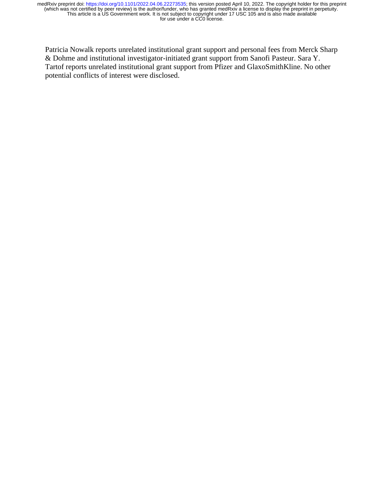Patricia Nowalk reports unrelated institutional grant support and personal fees from Merck Sharp & Dohme and institutional investigator-initiated grant support from Sanofi Pasteur. Sara Y. Tartof reports unrelated institutional grant support from Pfizer and GlaxoSmithKline. No other potential conflicts of interest were disclosed.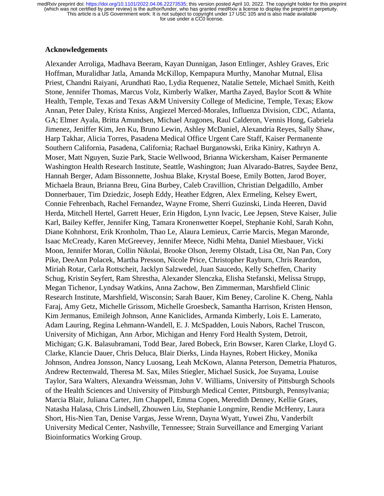#### **Acknowledgements**

Alexander Arroliga, Madhava Beeram, Kayan Dunnigan, Jason Ettlinger, Ashley Graves, Eric Hoffman, Muralidhar Jatla, Amanda McKillop, Kempapura Murthy, Manohar Mutnal, Elisa Priest, Chandni Raiyani, Arundhati Rao, Lydia Requenez, Natalie Settele, Michael Smith, Keith Stone, Jennifer Thomas, Marcus Volz, Kimberly Walker, Martha Zayed, Baylor Scott & White Health, Temple, Texas and Texas A&M University College of Medicine, Temple, Texas; Ekow Annan, Peter Daley, Krista Kniss, Angiezel Merced-Morales, Influenza Division, CDC, Atlanta, GA; Elmer Ayala, Britta Amundsen, Michael Aragones, Raul Calderon, Vennis Hong, Gabriela Jimenez, Jeniffer Kim, Jen Ku, Bruno Lewin, Ashley McDaniel, Alexandria Reyes, Sally Shaw, Harp Takhar, Alicia Torres, Pasadena Medical Office Urgent Care Staff, Kaiser Permanente Southern California, Pasadena, California; Rachael Burganowski, Erika Kiniry, Kathryn A. Moser, Matt Nguyen, Suzie Park, Stacie Wellwood, Brianna Wickersham, Kaiser Permanente Washington Health Research Institute, Seattle, Washington; Juan Alvarado-Batres, Saydee Benz, Hannah Berger, Adam Bissonnette, Joshua Blake, Krystal Boese, Emily Botten, Jarod Boyer, Michaela Braun, Brianna Breu, Gina Burbey, Caleb Cravillion, Christian Delgadillo, Amber Donnerbauer, Tim Dziedzic, Joseph Eddy, Heather Edgren, Alex Ermeling, Kelsey Ewert, Connie Fehrenbach, Rachel Fernandez, Wayne Frome, Sherri Guzinski, Linda Heeren, David Herda, Mitchell Hertel, Garrett Heuer, Erin Higdon, Lynn Ivacic, Lee Jepsen, Steve Kaiser, Julie Karl, Bailey Keffer, Jennifer King, Tamara Kronenwetter Koepel, Stephanie Kohl, Sarah Kohn, Diane Kohnhorst, Erik Kronholm, Thao Le, Alaura Lemieux, Carrie Marcis, Megan Maronde, Isaac McCready, Karen McGreevey, Jennifer Meece, Nidhi Mehta, Daniel Miesbauer, Vicki Moon, Jennifer Moran, Collin Nikolai, Brooke Olson, Jeremy Olstadt, Lisa Ott, Nan Pan, Cory Pike, DeeAnn Polacek, Martha Presson, Nicole Price, Christopher Rayburn, Chris Reardon, Miriah Rotar, Carla Rottscheit, Jacklyn Salzwedel, Juan Saucedo, Kelly Scheffen, Charity Schug, Kristin Seyfert, Ram Shrestha, Alexander Slenczka, Elisha Stefanski, Melissa Strupp, Megan Tichenor, Lyndsay Watkins, Anna Zachow, Ben Zimmerman, Marshfield Clinic Research Institute, Marshfield, Wisconsin; Sarah Bauer, Kim Beney, Caroline K. Cheng, Nahla Faraj, Amy Getz, Michelle Grissom, Michelle Groesbeck, Samantha Harrison, Kristen Henson, Kim Jermanus, Emileigh Johnson, Anne Kaniclides, Armanda Kimberly, Lois E. Lamerato, Adam Lauring, Regina Lehmann-Wandell, E. J. McSpadden, Louis Nabors, Rachel Truscon, University of Michigan, Ann Arbor, Michigan and Henry Ford Health System, Detroit, Michigan; G.K. Balasubramani, Todd Bear, Jared Bobeck, Erin Bowser, Karen Clarke, Lloyd G. Clarke, Klancie Dauer, Chris Deluca, Blair Dierks, Linda Haynes, Robert Hickey, Monika Johnson, Andrea Jonsson, Nancy Luosang, Leah McKown, Alanna Peterson, Demetria Phaturos, Andrew Rectenwald, Theresa M. Sax, Miles Stiegler, Michael Susick, Joe Suyama, Louise Taylor, Sara Walters, Alexandra Weissman, John V. Williams, University of Pittsburgh Schools of the Health Sciences and University of Pittsburgh Medical Center, Pittsburgh, Pennsylvania; Marcia Blair, Juliana Carter, Jim Chappell, Emma Copen, Meredith Denney, Kellie Graes, Natasha Halasa, Chris Lindsell, Zhouwen Liu, Stephanie Longmire, Rendie McHenry, Laura Short, His-Nien Tan, Denise Vargas, Jesse Wrenn, Dayna Wyatt, Yuwei Zhu, Vanderbilt University Medical Center, Nashville, Tennessee; Strain Surveillance and Emerging Variant Bioinformatics Working Group.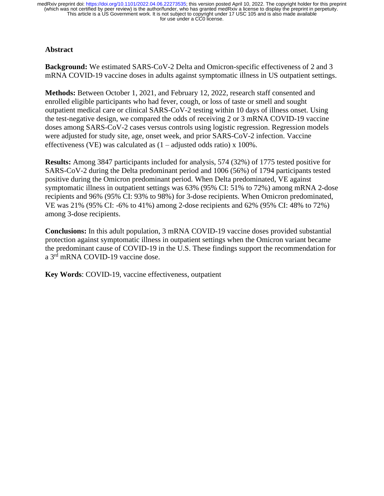# **Abstract**

**Background:** We estimated SARS-CoV-2 Delta and Omicron-specific effectiveness of 2 and 3 mRNA COVID-19 vaccine doses in adults against symptomatic illness in US outpatient settings.

**Methods:** Between October 1, 2021, and February 12, 2022, research staff consented and enrolled eligible participants who had fever, cough, or loss of taste or smell and sought outpatient medical care or clinical SARS-CoV-2 testing within 10 days of illness onset. Using the test-negative design, we compared the odds of receiving 2 or 3 mRNA COVID-19 vaccine doses among SARS-CoV-2 cases versus controls using logistic regression. Regression models were adjusted for study site, age, onset week, and prior SARS-CoV-2 infection. Vaccine effectiveness (VE) was calculated as  $(1 - \text{adjusted odds ratio}) \times 100\%$ .

**Results:** Among 3847 participants included for analysis, 574 (32%) of 1775 tested positive for SARS-CoV-2 during the Delta predominant period and 1006 (56%) of 1794 participants tested positive during the Omicron predominant period. When Delta predominated, VE against symptomatic illness in outpatient settings was 63% (95% CI: 51% to 72%) among mRNA 2-dose recipients and 96% (95% CI: 93% to 98%) for 3-dose recipients. When Omicron predominated, VE was 21% (95% CI: -6% to 41%) among 2-dose recipients and 62% (95% CI: 48% to 72%) among 3-dose recipients.

**Conclusions:** In this adult population, 3 mRNA COVID-19 vaccine doses provided substantial protection against symptomatic illness in outpatient settings when the Omicron variant became the predominant cause of COVID-19 in the U.S. These findings support the recommendation for a 3<sup>rd</sup> mRNA COVID-19 vaccine dose.

**Key Words**: COVID-19, vaccine effectiveness, outpatient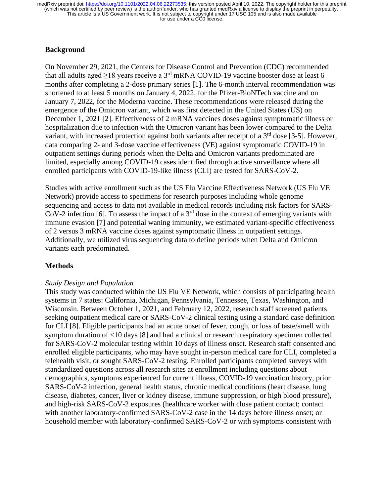## **Background**

On November 29, 2021, the Centers for Disease Control and Prevention (CDC) recommended that all adults aged  $\geq$ 18 years receive a 3<sup>rd</sup> mRNA COVID-19 vaccine booster dose at least 6 months after completing a 2-dose primary series [1]. The 6-month interval recommendation was shortened to at least 5 months on January 4, 2022, for the Pfizer-BioNTech vaccine and on January 7, 2022, for the Moderna vaccine. These recommendations were released during the emergence of the Omicron variant, which was first detected in the United States (US) on December 1, 2021 [2]. Effectiveness of 2 mRNA vaccines doses against symptomatic illness or hospitalization due to infection with the Omicron variant has been lower compared to the Delta variant, with increased protection against both variants after receipt of a 3<sup>rd</sup> dose [3-5]. However, data comparing 2- and 3-dose vaccine effectiveness (VE) against symptomatic COVID-19 in outpatient settings during periods when the Delta and Omicron variants predominated are limited, especially among COVID-19 cases identified through active surveillance where all enrolled participants with COVID-19-like illness (CLI) are tested for SARS-CoV-2.

Studies with active enrollment such as the US Flu Vaccine Effectiveness Network (US Flu VE Network) provide access to specimens for research purposes including whole genome sequencing and access to data not available in medical records including risk factors for SARS-CoV-2 infection [6]. To assess the impact of a  $3<sup>rd</sup>$  dose in the context of emerging variants with immune evasion [7] and potential waning immunity, we estimated variant-specific effectiveness of 2 versus 3 mRNA vaccine doses against symptomatic illness in outpatient settings. Additionally, we utilized virus sequencing data to define periods when Delta and Omicron variants each predominated.

#### **Methods**

#### *Study Design and Population*

This study was conducted within the US Flu VE Network, which consists of participating health systems in 7 states: California, Michigan, Pennsylvania, Tennessee, Texas, Washington, and Wisconsin. Between October 1, 2021, and February 12, 2022, research staff screened patients seeking outpatient medical care or SARS-CoV-2 clinical testing using a standard case definition for CLI [8]. Eligible participants had an acute onset of fever, cough, or loss of taste/smell with symptom duration of <10 days [8] and had a clinical or research respiratory specimen collected for SARS-CoV-2 molecular testing within 10 days of illness onset. Research staff consented and enrolled eligible participants, who may have sought in-person medical care for CLI, completed a telehealth visit, or sought SARS-CoV-2 testing. Enrolled participants completed surveys with standardized questions across all research sites at enrollment including questions about demographics, symptoms experienced for current illness, COVID-19 vaccination history, prior SARS-CoV-2 infection, general health status, chronic medical conditions (heart disease, lung disease, diabetes, cancer, liver or kidney disease, immune suppression, or high blood pressure), and high-risk SARS-CoV-2 exposures (healthcare worker with close patient contact; contact with another laboratory-confirmed SARS-CoV-2 case in the 14 days before illness onset; or household member with laboratory-confirmed SARS-CoV-2 or with symptoms consistent with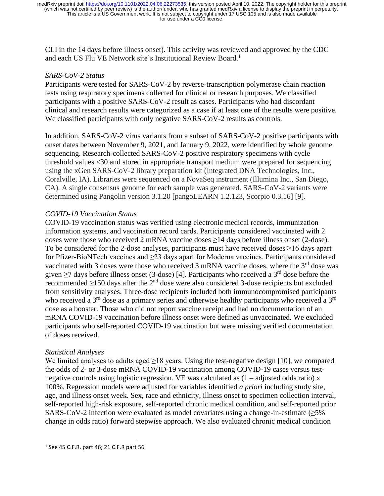CLI in the 14 days before illness onset). This activity was reviewed and approved by the CDC and each US Flu VE Network site's Institutional Review Board. 1

## *SARS-CoV-2 Status*

Participants were tested for SARS-CoV-2 by reverse-transcription polymerase chain reaction tests using respiratory specimens collected for clinical or research purposes. We classified participants with a positive SARS-CoV-2 result as cases. Participants who had discordant clinical and research results were categorized as a case if at least one of the results were positive. We classified participants with only negative SARS-CoV-2 results as controls.

In addition, SARS-CoV-2 virus variants from a subset of SARS-CoV-2 positive participants with onset dates between November 9, 2021, and January 9, 2022, were identified by whole genome sequencing. Research-collected SARS-CoV-2 positive respiratory specimens with cycle threshold values <30 and stored in appropriate transport medium were prepared for sequencing using the xGen SARS-CoV-2 library preparation kit (Integrated DNA Technologies, Inc., Coralville, IA). Libraries were sequenced on a NovaSeq instrument (Illumina Inc., San Diego, CA). A single consensus genome for each sample was generated. SARS-CoV-2 variants were determined using Pangolin version 3.1.20 [pangoLEARN 1.2.123, Scorpio 0.3.16] [9].

## *COVID-19 Vaccination Status*

COVID-19 vaccination status was verified using electronic medical records, immunization information systems, and vaccination record cards. Participants considered vaccinated with 2 doses were those who received 2 mRNA vaccine doses  $\geq$ 14 days before illness onset (2-dose). To be considered for the 2-dose analyses, participants must have received doses ≥16 days apart for Pfizer-BioNTech vaccines and ≥23 days apart for Moderna vaccines. Participants considered vaccinated with 3 doses were those who received 3 mRNA vaccine doses, where the  $3<sup>rd</sup>$  dose was given  $\geq$ 7 days before illness onset (3-dose) [4]. Participants who received a 3<sup>rd</sup> dose before the recommended  $\geq$ 150 days after the 2<sup>nd</sup> dose were also considered 3-dose recipients but excluded from sensitivity analyses. Three-dose recipients included both immunocompromised participants who received a 3<sup>rd</sup> dose as a primary series and otherwise healthy participants who received a 3<sup>rd</sup> dose as a booster. Those who did not report vaccine receipt and had no documentation of an mRNA COVID-19 vaccination before illness onset were defined as unvaccinated. We excluded participants who self-reported COVID-19 vaccination but were missing verified documentation of doses received.

#### *Statistical Analyses*

We limited analyses to adults aged  $\geq$ 18 years. Using the test-negative design [10], we compared the odds of 2- or 3-dose mRNA COVID-19 vaccination among COVID-19 cases versus testnegative controls using logistic regression. VE was calculated as  $(1 - \text{adjusted odds ratio}) \times$ 100%. Regression models were adjusted for variables identified *a priori* including study site, age, and illness onset week. Sex, race and ethnicity, illness onset to specimen collection interval, self-reported high-risk exposure, self-reported chronic medical condition, and self-reported prior SARS-CoV-2 infection were evaluated as model covariates using a change-in-estimate  $(\geq 5\%$ change in odds ratio) forward stepwise approach. We also evaluated chronic medical condition

<sup>1</sup> See 45 C.F.R. part 46; 21 C.F.R part 56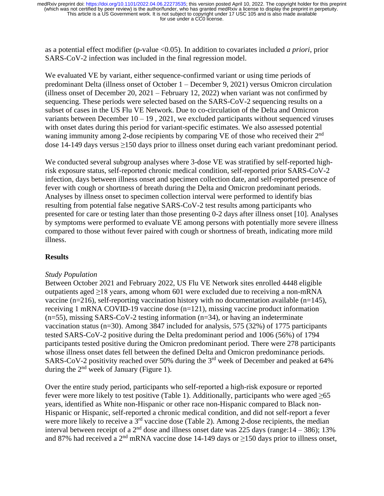as a potential effect modifier (p-value <0.05). In addition to covariates included *a priori*, prior SARS-CoV-2 infection was included in the final regression model.

We evaluated VE by variant, either sequence-confirmed variant or using time periods of predominant Delta (illness onset of October 1 – December 9, 2021) versus Omicron circulation (illness onset of December 20, 2021 – February 12, 2022) when variant was not confirmed by sequencing. These periods were selected based on the SARS-CoV-2 sequencing results on a subset of cases in the US Flu VE Network. Due to co-circulation of the Delta and Omicron variants between December  $10 - 19$ , 2021, we excluded participants without sequenced viruses with onset dates during this period for variant-specific estimates. We also assessed potential waning immunity among 2-dose recipients by comparing VE of those who received their 2<sup>nd</sup> dose 14-149 days versus ≥150 days prior to illness onset during each variant predominant period.

We conducted several subgroup analyses where 3-dose VE was stratified by self-reported highrisk exposure status, self-reported chronic medical condition, self-reported prior SARS-CoV-2 infection, days between illness onset and specimen collection date, and self-reported presence of fever with cough or shortness of breath during the Delta and Omicron predominant periods. Analyses by illness onset to specimen collection interval were performed to identify bias resulting from potential false negative SARS-CoV-2 test results among participants who presented for care or testing later than those presenting 0-2 days after illness onset [10]. Analyses by symptoms were performed to evaluate VE among persons with potentially more severe illness compared to those without fever paired with cough or shortness of breath, indicating more mild illness.

#### **Results**

#### *Study Population*

Between October 2021 and February 2022, US Flu VE Network sites enrolled 4448 eligible outpatients aged ≥18 years, among whom 601 were excluded due to receiving a non-mRNA vaccine (n=216), self-reporting vaccination history with no documentation available (n=145), receiving 1 mRNA COVID-19 vaccine dose (n=121), missing vaccine product information  $(n=55)$ , missing SARS-CoV-2 testing information  $(n=34)$ , or having an indeterminate vaccination status (n=30). Among 3847 included for analysis, 575 (32%) of 1775 participants tested SARS-CoV-2 positive during the Delta predominant period and 1006 (56%) of 1794 participants tested positive during the Omicron predominant period. There were 278 participants whose illness onset dates fell between the defined Delta and Omicron predominance periods. SARS-CoV-2 positivity reached over 50% during the 3<sup>rd</sup> week of December and peaked at 64% during the  $2<sup>nd</sup>$  week of January (Figure 1).

Over the entire study period, participants who self-reported a high-risk exposure or reported fever were more likely to test positive (Table 1). Additionally, participants who were aged  $\geq 65$ years, identified as White non-Hispanic or other race non-Hispanic compared to Black non-Hispanic or Hispanic, self-reported a chronic medical condition, and did not self-report a fever were more likely to receive a 3<sup>rd</sup> vaccine dose (Table 2). Among 2-dose recipients, the median interval between receipt of a  $2<sup>nd</sup>$  dose and illness onset date was 225 days (range:  $14 - 386$ ); 13% and 87% had received a 2<sup>nd</sup> mRNA vaccine dose 14-149 days or  $\geq$ 150 days prior to illness onset,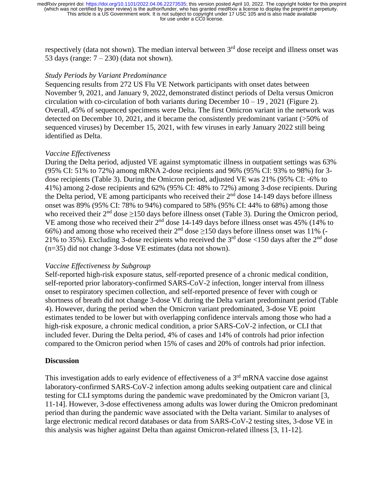respectively (data not shown). The median interval between 3<sup>rd</sup> dose receipt and illness onset was 53 days (range:  $7 - 230$ ) (data not shown).

#### *Study Periods by Variant Predominance*

Sequencing results from 272 US Flu VE Network participants with onset dates between November 9, 2021, and January 9, 2022, demonstrated distinct periods of Delta versus Omicron circulation with co-circulation of both variants during December  $10 - 19$ , 2021 (Figure 2). Overall, 45% of sequenced specimens were Delta. The first Omicron variant in the network was detected on December 10, 2021, and it became the consistently predominant variant (>50% of sequenced viruses) by December 15, 2021, with few viruses in early January 2022 still being identified as Delta.

## *Vaccine Effectiveness*

During the Delta period, adjusted VE against symptomatic illness in outpatient settings was 63% (95% CI: 51% to 72%) among mRNA 2-dose recipients and 96% (95% CI: 93% to 98%) for 3 dose recipients (Table 3). During the Omicron period, adjusted VE was 21% (95% CI: -6% to 41%) among 2-dose recipients and 62% (95% CI: 48% to 72%) among 3-dose recipients. During the Delta period, VE among participants who received their  $2<sup>nd</sup>$  dose 14-149 days before illness onset was 89% (95% CI: 78% to 94%) compared to 58% (95% CI: 44% to 68%) among those who received their  $2<sup>nd</sup>$  dose  $\geq$ 150 days before illness onset (Table 3). During the Omicron period, VE among those who received their  $2<sup>nd</sup>$  dose 14-149 days before illness onset was 45% (14% to 66%) and among those who received their  $2<sup>nd</sup>$  dose  $\geq$ 150 days before illness onset was 11% (-21% to 35%). Excluding 3-dose recipients who received the  $3<sup>rd</sup>$  dose <150 days after the  $2<sup>nd</sup>$  dose (n=35) did not change 3-dose VE estimates (data not shown).

#### *Vaccine Effectiveness by Subgroup*

Self-reported high-risk exposure status, self-reported presence of a chronic medical condition, self-reported prior laboratory-confirmed SARS-CoV-2 infection, longer interval from illness onset to respiratory specimen collection, and self-reported presence of fever with cough or shortness of breath did not change 3-dose VE during the Delta variant predominant period (Table 4). However, during the period when the Omicron variant predominated, 3-dose VE point estimates tended to be lower but with overlapping confidence intervals among those who had a high-risk exposure, a chronic medical condition, a prior SARS-CoV-2 infection, or CLI that included fever. During the Delta period, 4% of cases and 14% of controls had prior infection compared to the Omicron period when 15% of cases and 20% of controls had prior infection.

#### **Discussion**

This investigation adds to early evidence of effectiveness of a 3<sup>rd</sup> mRNA vaccine dose against laboratory-confirmed SARS-CoV-2 infection among adults seeking outpatient care and clinical testing for CLI symptoms during the pandemic wave predominated by the Omicron variant [3, 11-14]. However, 3-dose effectiveness among adults was lower during the Omicron predominant period than during the pandemic wave associated with the Delta variant. Similar to analyses of large electronic medical record databases or data from SARS-CoV-2 testing sites, 3-dose VE in this analysis was higher against Delta than against Omicron-related illness [3, 11-12].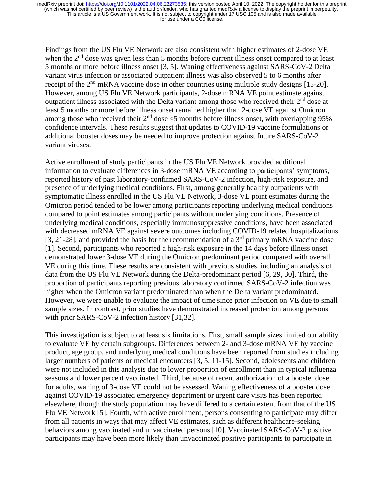Findings from the US Flu VE Network are also consistent with higher estimates of 2-dose VE when the  $2<sup>nd</sup>$  dose was given less than 5 months before current illness onset compared to at least 5 months or more before illness onset [3, 5]. Waning effectiveness against SARS-CoV-2 Delta variant virus infection or associated outpatient illness was also observed 5 to 6 months after receipt of the  $2<sup>nd</sup>$  mRNA vaccine dose in other countries using multiple study designs [15-20]. However, among US Flu VE Network participants, 2-dose mRNA VE point estimate against outpatient illness associated with the Delta variant among those who received their  $2<sup>nd</sup>$  dose at least 5 months or more before illness onset remained higher than 2-dose VE against Omicron among those who received their  $2<sup>nd</sup>$  dose <5 months before illness onset, with overlapping 95% confidence intervals. These results suggest that updates to COVID-19 vaccine formulations or additional booster doses may be needed to improve protection against future SARS-CoV-2 variant viruses.

Active enrollment of study participants in the US Flu VE Network provided additional information to evaluate differences in 3-dose mRNA VE according to participants' symptoms, reported history of past laboratory-confirmed SARS-CoV-2 infection, high-risk exposure, and presence of underlying medical conditions. First, among generally healthy outpatients with symptomatic illness enrolled in the US Flu VE Network, 3-dose VE point estimates during the Omicron period tended to be lower among participants reporting underlying medical conditions compared to point estimates among participants without underlying conditions. Presence of underlying medical conditions, especially immunosuppressive conditions, have been associated with decreased mRNA VE against severe outcomes including COVID-19 related hospitalizations [3, 21-28], and provided the basis for the recommendation of a  $3<sup>rd</sup>$  primary mRNA vaccine dose [1]. Second, participants who reported a high-risk exposure in the 14 days before illness onset demonstrated lower 3-dose VE during the Omicron predominant period compared with overall VE during this time. These results are consistent with previous studies, including an analysis of data from the US Flu VE Network during the Delta-predominant period [6, 29, 30]. Third, the proportion of participants reporting previous laboratory confirmed SARS-CoV-2 infection was higher when the Omicron variant predominated than when the Delta variant predominated. However, we were unable to evaluate the impact of time since prior infection on VE due to small sample sizes. In contrast, prior studies have demonstrated increased protection among persons with prior SARS-CoV-2 infection history [31,32].

This investigation is subject to at least six limitations. First, small sample sizes limited our ability to evaluate VE by certain subgroups. Differences between 2- and 3-dose mRNA VE by vaccine product, age group, and underlying medical conditions have been reported from studies including larger numbers of patients or medical encounters [3, 5, 11-15]. Second, adolescents and children were not included in this analysis due to lower proportion of enrollment than in typical influenza seasons and lower percent vaccinated. Third, because of recent authorization of a booster dose for adults, waning of 3-dose VE could not be assessed. Waning effectiveness of a booster dose against COVID-19 associated emergency department or urgent care visits has been reported elsewhere, though the study population may have differed to a certain extent from that of the US Flu VE Network [5]. Fourth, with active enrollment, persons consenting to participate may differ from all patients in ways that may affect VE estimates, such as different healthcare-seeking behaviors among vaccinated and unvaccinated persons [10]. Vaccinated SARS-CoV-2 positive participants may have been more likely than unvaccinated positive participants to participate in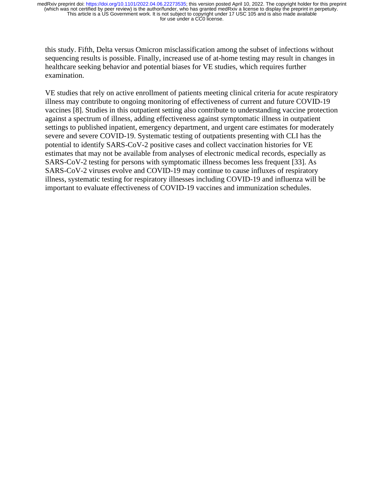this study. Fifth, Delta versus Omicron misclassification among the subset of infections without sequencing results is possible. Finally, increased use of at-home testing may result in changes in healthcare seeking behavior and potential biases for VE studies, which requires further examination.

VE studies that rely on active enrollment of patients meeting clinical criteria for acute respiratory illness may contribute to ongoing monitoring of effectiveness of current and future COVID-19 vaccines [8]. Studies in this outpatient setting also contribute to understanding vaccine protection against a spectrum of illness, adding effectiveness against symptomatic illness in outpatient settings to published inpatient, emergency department, and urgent care estimates for moderately severe and severe COVID-19. Systematic testing of outpatients presenting with CLI has the potential to identify SARS-CoV-2 positive cases and collect vaccination histories for VE estimates that may not be available from analyses of electronic medical records, especially as SARS-CoV-2 testing for persons with symptomatic illness becomes less frequent [33]. As SARS-CoV-2 viruses evolve and COVID-19 may continue to cause influxes of respiratory illness, systematic testing for respiratory illnesses including COVID-19 and influenza will be important to evaluate effectiveness of COVID-19 vaccines and immunization schedules.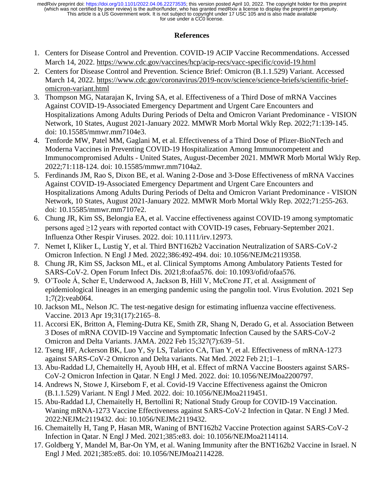# **References**

- 1. Centers for Disease Control and Prevention. COVID-19 ACIP Vaccine Recommendations. Accessed March 14, 2022.<https://www.cdc.gov/vaccines/hcp/acip-recs/vacc-specific/covid-19.html>
- 2. Centers for Disease Control and Prevention. Science Brief: Omicron (B.1.1.529) Variant. Accessed March 14, 2022. [https://www.cdc.gov/coronavirus/2019-ncov/science/science-briefs/scientific-brief](https://www.cdc.gov/coronavirus/2019-ncov/science/science-briefs/scientific-brief-omicron-variant.html)[omicron-variant.html](https://www.cdc.gov/coronavirus/2019-ncov/science/science-briefs/scientific-brief-omicron-variant.html)
- 3. Thompson MG, Natarajan K, Irving SA, et al. Effectiveness of a Third Dose of mRNA Vaccines Against COVID-19-Associated Emergency Department and Urgent Care Encounters and Hospitalizations Among Adults During Periods of Delta and Omicron Variant Predominance - VISION Network, 10 States, August 2021-January 2022. MMWR Morb Mortal Wkly Rep. 2022;71:139-145. doi: 10.15585/mmwr.mm7104e3.
- 4. Tenforde MW, Patel MM, Gaglani M, et al. Effectiveness of a Third Dose of Pfizer-BioNTech and Moderna Vaccines in Preventing COVID-19 Hospitalization Among Immunocompetent and Immunocompromised Adults - United States, August-December 2021. MMWR Morb Mortal Wkly Rep. 2022;71:118-124. doi: 10.15585/mmwr.mm7104a2.
- 5. Ferdinands JM, Rao S, Dixon BE, et al. Waning 2-Dose and 3-Dose Effectiveness of mRNA Vaccines Against COVID-19-Associated Emergency Department and Urgent Care Encounters and Hospitalizations Among Adults During Periods of Delta and Omicron Variant Predominance - VISION Network, 10 States, August 2021-January 2022. MMWR Morb Mortal Wkly Rep. 2022;71:255-263. doi: 10.15585/mmwr.mm7107e2.
- 6. Chung JR, Kim SS, Belongia EA, et al. Vaccine effectiveness against COVID-19 among symptomatic persons aged ≥12 years with reported contact with COVID-19 cases, February-September 2021. Influenza Other Respir Viruses. 2022. doi: 10.1111/irv.12973.
- 7. Nemet I, Kliker L, Lustig Y, et al. Third BNT162b2 Vaccination Neutralization of SARS-CoV-2 Omicron Infection. N Engl J Med. 2022;386:492-494. doi: 10.1056/NEJMc2119358.
- 8. Chung JR, Kim SS, Jackson ML, et al. Clinical Symptoms Among Ambulatory Patients Tested for SARS-CoV-2. Open Forum Infect Dis. 2021;8:ofaa576. doi: 10.1093/ofid/ofaa576.
- 9. O'Toole Á, Scher E, Underwood A, Jackson B, Hill V, McCrone JT, et al. Assignment of epidemiological lineages in an emerging pandemic using the pangolin tool. Virus Evolution. 2021 Sep 1;7(2):veab064.
- 10. Jackson ML, Nelson JC. The test-negative design for estimating influenza vaccine effectiveness. Vaccine. 2013 Apr 19;31(17):2165–8.
- 11. Accorsi EK, Britton A, Fleming-Dutra KE, Smith ZR, Shang N, Derado G, et al. Association Between 3 Doses of mRNA COVID-19 Vaccine and Symptomatic Infection Caused by the SARS-CoV-2 Omicron and Delta Variants. JAMA. 2022 Feb 15;327(7):639–51.
- 12. Tseng HF, Ackerson BK, Luo Y, Sy LS, Talarico CA, Tian Y, et al. Effectiveness of mRNA-1273 against SARS-CoV-2 Omicron and Delta variants. Nat Med. 2022 Feb 21;1–1.
- 13. Abu-Raddad LJ, Chemaitelly H, Ayoub HH, et al. Effect of mRNA Vaccine Boosters against SARS-CoV-2 Omicron Infection in Qatar. N Engl J Med. 2022. doi: 10.1056/NEJMoa2200797.
- 14. Andrews N, Stowe J, Kirsebom F, et al. Covid-19 Vaccine Effectiveness against the Omicron (B.1.1.529) Variant. N Engl J Med. 2022. doi: 10.1056/NEJMoa2119451.
- 15. Abu-Raddad LJ, Chemaitelly H, Bertollini R; National Study Group for COVID-19 Vaccination. Waning mRNA-1273 Vaccine Effectiveness against SARS-CoV-2 Infection in Qatar. N Engl J Med. 2022:NEJMc2119432. doi: 10.1056/NEJMc2119432.
- 16. Chemaitelly H, Tang P, Hasan MR, Waning of BNT162b2 Vaccine Protection against SARS-CoV-2 Infection in Qatar. N Engl J Med. 2021;385:e83. doi: 10.1056/NEJMoa2114114.
- 17. Goldberg Y, Mandel M, Bar-On YM, et al. Waning Immunity after the BNT162b2 Vaccine in Israel. N Engl J Med. 2021;385:e85. doi: 10.1056/NEJMoa2114228.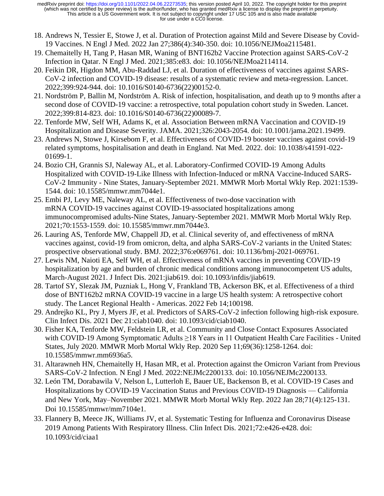- 18. Andrews N, Tessier E, Stowe J, et al. Duration of Protection against Mild and Severe Disease by Covid-19 Vaccines. N Engl J Med. 2022 Jan 27;386(4):340-350. doi: 10.1056/NEJMoa2115481.
- 19. Chemaitelly H, Tang P, Hasan MR, Waning of BNT162b2 Vaccine Protection against SARS-CoV-2 Infection in Qatar. N Engl J Med. 2021;385:e83. doi: 10.1056/NEJMoa2114114.
- 20. Feikin DR, Higdon MM, Abu-Raddad LJ, et al. Duration of effectiveness of vaccines against SARS-CoV-2 infection and COVID-19 disease: results of a systematic review and meta-regression. Lancet. 2022;399:924-944. doi: 10.1016/S0140-6736(22)00152-0.
- 21. Nordström P, Ballin M, Nordström A. Risk of infection, hospitalisation, and death up to 9 months after a second dose of COVID-19 vaccine: a retrospective, total population cohort study in Sweden. Lancet. 2022;399:814-823. doi: 10.1016/S0140-6736(22)00089-7.
- 22. Tenforde MW, Self WH, Adams K, et al. Association Between mRNA Vaccination and COVID-19 Hospitalization and Disease Severity. JAMA. 2021;326:2043-2054. doi: 10.1001/jama.2021.19499.
- 23. Andrews N, Stowe J, Kirsebom F, et al. Effectiveness of COVID-19 booster vaccines against covid-19 related symptoms, hospitalisation and death in England. Nat Med. 2022. doi: 10.1038/s41591-022- 01699-1.
- 24. Bozio CH, Grannis SJ, Naleway AL, et al. Laboratory-Confirmed COVID-19 Among Adults Hospitalized with COVID-19-Like Illness with Infection-Induced or mRNA Vaccine-Induced SARS-CoV-2 Immunity - Nine States, January-September 2021. MMWR Morb Mortal Wkly Rep. 2021:1539- 1544. doi: 10.15585/mmwr.mm7044e1.
- 25. Embi PJ, Levy ME, Naleway AL, et al. Effectiveness of two-dose vaccination with mRNA COVID-19 vaccines against COVID-19-associated hospitalizations among immunocompromised adults-Nine States, January-September 2021. MMWR Morb Mortal Wkly Rep. 2021;70:1553-1559. doi: 10.15585/mmwr.mm7044e3.
- 26. Lauring AS, Tenforde MW, Chappell JD, et al. Clinical severity of, and effectiveness of mRNA vaccines against, covid-19 from omicron, delta, and alpha SARS-CoV-2 variants in the United States: prospective observational study. BMJ. 2022;376:e069761. doi: 10.1136/bmj-2021-069761.
- 27. Lewis NM, Naioti EA, Self WH, et al. Effectiveness of mRNA vaccines in preventing COVID-19 hospitalization by age and burden of chronic medical conditions among immunocompetent US adults, March-August 2021. J Infect Dis. 2021:jiab619. doi: 10.1093/infdis/jiab619.
- 28. Tartof SY, Slezak JM, Puzniak L, Hong V, Frankland TB, Ackerson BK, et al. Effectiveness of a third dose of BNT162b2 mRNA COVID-19 vaccine in a large US health system: A retrospective cohort study. The Lancet Regional Health - Americas. 2022 Feb 14;100198.
- 29. Andrejko KL, Pry J, Myers JF, et al. Predictors of SARS-CoV-2 infection following high-risk exposure. Clin Infect Dis. 2021 Dec 21:ciab1040. doi: 10.1093/cid/ciab1040.
- 30. Fisher KA, Tenforde MW, Feldstein LR, et al. Community and Close Contact Exposures Associated with COVID-19 Among Symptomatic Adults ≥18 Years in 11 Outpatient Health Care Facilities - United States, July 2020. MMWR Morb Mortal Wkly Rep. 2020 Sep 11;69(36):1258-1264. doi: 10.15585/mmwr.mm6936a5.
- 31. Altarawneh HN, Chemaitelly H, Hasan MR, et al. Protection against the Omicron Variant from Previous SARS-CoV-2 Infection. N Engl J Med. 2022:NEJMc2200133. doi: 10.1056/NEJMc2200133.
- 32. León TM, Dorabawila V, Nelson L, Lutterloh E, Bauer UE, Backenson B, et al. COVID-19 Cases and Hospitalizations by COVID-19 Vaccination Status and Previous COVID-19 Diagnosis — California and New York, May–November 2021. MMWR Morb Mortal Wkly Rep. 2022 Jan 28;71(4):125-131. Doi 10.15585/mmwr/mm7104e1.
- 33. Flannery B, Meece JK, Williams JV, et al. Systematic Testing for Influenza and Coronavirus Disease 2019 Among Patients With Respiratory Illness. Clin Infect Dis. 2021;72:e426-e428. doi: 10.1093/cid/ciaa1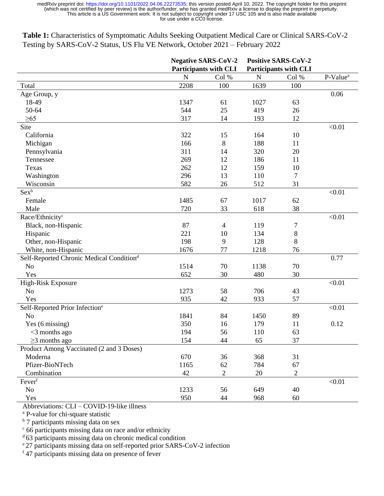**Table 1:** Characteristics of Symptomatic Adults Seeking Outpatient Medical Care or Clinical SARS-CoV-2 Testing by SARS-CoV-2 Status, US Flu VE Network, October 2021 – February 2022

|                                                      |           | <b>Negative SARS-CoV-2</b><br><b>Participants with CLI</b> |             | <b>Positive SARS-CoV-2</b><br><b>Participants with CLI</b> |                      |  |
|------------------------------------------------------|-----------|------------------------------------------------------------|-------------|------------------------------------------------------------|----------------------|--|
|                                                      | ${\bf N}$ | Col %                                                      | $\mathbf N$ | Col %                                                      | P-Value <sup>a</sup> |  |
| Total                                                | 2208      | 100                                                        | 1639        | 100                                                        |                      |  |
| Age Group, y                                         |           |                                                            |             |                                                            | 0.06                 |  |
| 18-49                                                | 1347      | 61                                                         | 1027        | 63                                                         |                      |  |
| 50-64                                                | 544       | 25                                                         | 419         | 26                                                         |                      |  |
| $\geq 65$                                            | 317       | 14                                                         | 193         | 12                                                         |                      |  |
| Site                                                 |           |                                                            |             |                                                            | < 0.01               |  |
| California                                           | 322       | 15                                                         | 164         | 10                                                         |                      |  |
| Michigan                                             | 166       | 8                                                          | 188         | 11                                                         |                      |  |
| Pennsylvania                                         | 311       | 14                                                         | 320         | 20                                                         |                      |  |
| Tennessee                                            | 269       | 12                                                         | 186         | 11                                                         |                      |  |
| Texas                                                | 262       | 12                                                         | 159         | 10                                                         |                      |  |
| Washington                                           | 296       | 13                                                         | 110         | $\tau$                                                     |                      |  |
| Wisconsin                                            | 582       | 26                                                         | 512         | 31                                                         |                      |  |
| Sexb                                                 |           |                                                            |             |                                                            | < 0.01               |  |
| Female                                               | 1485      | 67                                                         | 1017        | 62                                                         |                      |  |
| Male                                                 | 720       | 33                                                         | 618         | 38                                                         |                      |  |
| Race/Ethnicity <sup>c</sup>                          |           |                                                            |             |                                                            | < 0.01               |  |
| Black, non-Hispanic                                  | 87        | $\overline{4}$                                             | 119         | 7                                                          |                      |  |
| Hispanic                                             | 221       | 10                                                         | 134         | $8\,$                                                      |                      |  |
| Other, non-Hispanic                                  | 198       | 9                                                          | 128         | 8                                                          |                      |  |
| White, non-Hispanic                                  | 1676      | 77                                                         | 1218        | 76                                                         |                      |  |
| Self-Reported Chronic Medical Condition <sup>d</sup> |           |                                                            |             |                                                            | 0.77                 |  |
| No                                                   | 1514      | 70                                                         | 1138        | 70                                                         |                      |  |
| Yes                                                  | 652       | 30                                                         | 480         | 30                                                         |                      |  |
| High-Risk Exposure                                   |           |                                                            |             |                                                            | < 0.01               |  |
| N <sub>o</sub>                                       | 1273      | 58                                                         | 706         | 43                                                         |                      |  |
| Yes                                                  | 935       | 42                                                         | 933         | 57                                                         |                      |  |
| Self-Reported Prior Infection <sup>e</sup>           |           |                                                            |             |                                                            | < 0.01               |  |
| N <sub>0</sub>                                       | 1841      | 84                                                         | 1450        | 89                                                         |                      |  |
| Yes (6 missing)                                      | 350       | 16                                                         | 179         | 11                                                         | 0.12                 |  |
| $<$ 3 months ago                                     | 194       | 56                                                         | 110         | 63                                                         |                      |  |
| $\geq$ 3 months ago                                  | 154       | 44                                                         | 65          | 37                                                         |                      |  |
| Product Among Vaccinated (2 and 3 Doses)             |           |                                                            |             |                                                            |                      |  |
| Moderna                                              | 670       | 36                                                         | 368         | 31                                                         |                      |  |
| Pfizer-BioNTech                                      | 1165      | 62                                                         | 784         | 67                                                         |                      |  |
| Combination                                          | 42        | $\overline{2}$                                             | 20          | $\overline{2}$                                             |                      |  |
| Fever <sup>f</sup>                                   |           |                                                            |             |                                                            | < 0.01               |  |
| No                                                   | 1233      | 56                                                         | 649         | 40                                                         |                      |  |
| Yes                                                  | 950       | 44                                                         | 968         | 60                                                         |                      |  |

Abbreviations: CLI – COVID-19-like illness

<sup>a</sup> P-value for chi-square statistic

 $<sup>b</sup>$  7 participants missing data on sex</sup>

<sup>c</sup> 66 participants missing data on race and/or ethnicity

 $\frac{d}{d}$ 63 participants missing data on chronic medical condition

<sup>e</sup>27 participants missing data on self-reported prior SARS-CoV-2 infection

<sup>f</sup> 47 participants missing data on presence of fever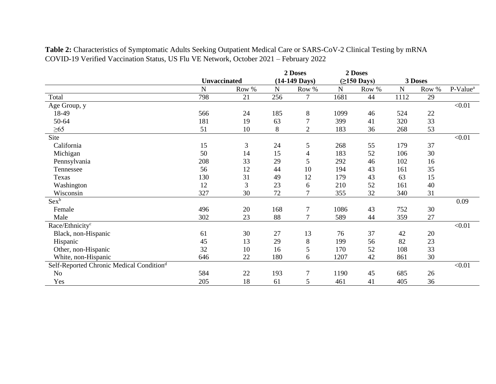|                                                      |              |                |           | 2 Doses                 |             | 2 Doses            |           |       |                      |
|------------------------------------------------------|--------------|----------------|-----------|-------------------------|-------------|--------------------|-----------|-------|----------------------|
|                                                      | Unvaccinated |                |           | $(14-149 \text{ Days})$ |             | $( \geq 150$ Days) | 3 Doses   |       |                      |
|                                                      | $\mathbf N$  | Row %          | ${\bf N}$ | Row %                   | $\mathbf N$ | Row %              | ${\bf N}$ | Row % | P-Value <sup>a</sup> |
| Total                                                | 798          | 21             | 256       | 7                       | 1681        | 44                 | 1112      | 29    |                      |
| Age Group, y                                         |              |                |           |                         |             |                    |           |       | < 0.01               |
| 18-49                                                | 566          | 24             | 185       | 8                       | 1099        | 46                 | 524       | 22    |                      |
| 50-64                                                | 181          | 19             | 63        | $\boldsymbol{7}$        | 399         | 41                 | 320       | 33    |                      |
| $\geq 65$                                            | 51           | 10             | 8         | $\overline{2}$          | 183         | 36                 | 268       | 53    |                      |
| Site                                                 |              |                |           |                         |             |                    |           |       | $<0.01$              |
| California                                           | 15           | 3              | 24        | 5                       | 268         | 55                 | 179       | 37    |                      |
| Michigan                                             | 50           | 14             | 15        | $\overline{4}$          | 183         | 52                 | 106       | 30    |                      |
| Pennsylvania                                         | 208          | 33             | 29        | 5                       | 292         | 46                 | 102       | 16    |                      |
| Tennessee                                            | 56           | 12             | 44        | 10                      | 194         | 43                 | 161       | 35    |                      |
| Texas                                                | 130          | 31             | 49        | 12                      | 179         | 43                 | 63        | 15    |                      |
| Washington                                           | 12           | $\mathfrak{Z}$ | 23        | 6                       | 210         | 52                 | 161       | 40    |                      |
| Wisconsin                                            | 327          | 30             | 72        | $\overline{7}$          | 355         | 32                 | 340       | 31    |                      |
| $Sex^b$                                              |              |                |           |                         |             |                    |           |       | 0.09                 |
| Female                                               | 496          | 20             | 168       | $\tau$                  | 1086        | 43                 | 752       | 30    |                      |
| Male                                                 | 302          | 23             | 88        | $\tau$                  | 589         | 44                 | 359       | 27    |                      |
| Race/Ethnicity <sup>c</sup>                          |              |                |           |                         |             |                    |           |       | < 0.01               |
| Black, non-Hispanic                                  | 61           | 30             | 27        | 13                      | 76          | 37                 | 42        | 20    |                      |
| Hispanic                                             | 45           | 13             | 29        | $8\,$                   | 199         | 56                 | 82        | 23    |                      |
| Other, non-Hispanic                                  | 32           | 10             | 16        | 5                       | 170         | 52                 | 108       | 33    |                      |
| White, non-Hispanic                                  | 646          | 22             | 180       | 6                       | 1207        | 42                 | 861       | 30    |                      |
| Self-Reported Chronic Medical Condition <sup>d</sup> |              |                |           |                         |             |                    |           |       | < 0.01               |
| No                                                   | 584          | 22             | 193       | $\tau$                  | 1190        | 45                 | 685       | 26    |                      |
| Yes                                                  | 205          | 18             | 61        | 5                       | 461         | 41                 | 405       | 36    |                      |

**Table 2:** Characteristics of Symptomatic Adults Seeking Outpatient Medical Care or SARS-CoV-2 Clinical Testing by mRNA COVID-19 Verified Vaccination Status, US Flu VE Network, October 2021 – February 2022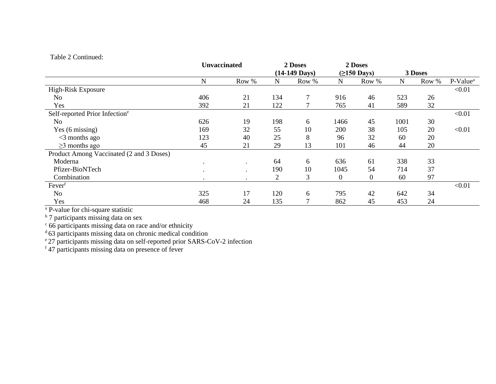# Table 2 Continued:

|                                            | Unvaccinated |           | 2 Doses     |                 |          | 2 Doses           |         |       |                      |
|--------------------------------------------|--------------|-----------|-------------|-----------------|----------|-------------------|---------|-------|----------------------|
|                                            |              |           |             | $(14-149$ Days) |          | $( \ge 150$ Days) | 3 Doses |       |                      |
|                                            | N            | Row %     | $\mathbf N$ | Row %           | N        | Row %             | N       | Row % | P-Value <sup>a</sup> |
| High-Risk Exposure                         |              |           |             |                 |          |                   |         |       | < 0.01               |
| No                                         | 406          | 21        | 134         | 7               | 916      | 46                | 523     | 26    |                      |
| Yes                                        | 392          | 21        | 122         |                 | 765      | 41                | 589     | 32    |                      |
| Self-reported Prior Infection <sup>e</sup> |              |           |             |                 |          |                   |         |       | < 0.01               |
| No                                         | 626          | 19        | 198         | 6               | 1466     | 45                | 1001    | 30    |                      |
| Yes (6 missing)                            | 169          | 32        | 55          | 10              | 200      | 38                | 105     | 20    | < 0.01               |
| $<$ 3 months ago                           | 123          | 40        | 25          | 8               | 96       | 32                | 60      | 20    |                      |
| $\geq$ 3 months ago                        | 45           | 21        | 29          | 13              | 101      | 46                | 44      | 20    |                      |
| Product Among Vaccinated (2 and 3 Doses)   |              |           |             |                 |          |                   |         |       |                      |
| Moderna                                    | $\cdot$      | $\bullet$ | 64          | 6               | 636      | 61                | 338     | 33    |                      |
| Pfizer-BioNTech                            | $\bullet$    | $\bullet$ | 190         | 10              | 1045     | 54                | 714     | 37    |                      |
| Combination                                |              |           | 2           | 3               | $\theta$ | 0                 | 60      | 97    |                      |
| Fever                                      |              |           |             |                 |          |                   |         |       | < 0.01               |
| N <sub>o</sub>                             | 325          | 17        | 120         | 6               | 795      | 42                | 642     | 34    |                      |
| Yes                                        | 468          | 24        | 135         |                 | 862      | 45                | 453     | 24    |                      |

<sup>a</sup> P-value for chi-square statistic

<sup>b</sup> 7 participants missing data on sex

<sup>c</sup> 66 participants missing data on race and/or ethnicity

<sup>d</sup> 63 participants missing data on chronic medical condition

<sup>e</sup> 27 participants missing data on self-reported prior SARS-CoV-2 infection

f 47 participants missing data on presence of fever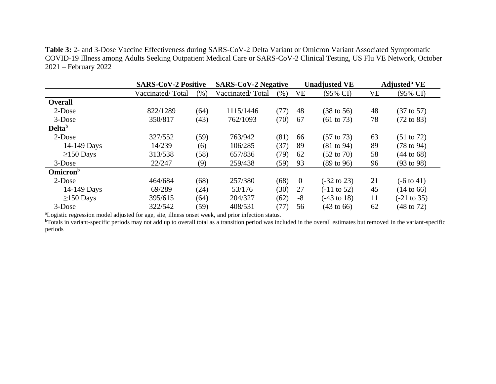**Table 3:** 2- and 3-Dose Vaccine Effectiveness during SARS-CoV-2 Delta Variant or Omicron Variant Associated Symptomatic COVID-19 Illness among Adults Seeking Outpatient Medical Care or SARS-CoV-2 Clinical Testing, US Flu VE Network, October 2021 – February 2022

|                             | <b>SARS-CoV-2 Positive</b> |      | <b>SARS-CoV-2 Negative</b> |      |                | <b>Unadjusted VE</b>   | <b>Adjusted</b> <sup>a</sup> VE |                        |
|-----------------------------|----------------------------|------|----------------------------|------|----------------|------------------------|---------------------------------|------------------------|
|                             | Vaccinated/Total           | (% ) | Vaccinated/Total           | (% ) | VE             | (95% CI)               | VE                              | (95% CI)               |
| <b>Overall</b>              |                            |      |                            |      |                |                        |                                 |                        |
| $2$ -Dose                   | 822/1289                   | (64) | 1115/1446                  | (77) | 48             | $(38 \text{ to } 56)$  | 48                              | $(37 \text{ to } 57)$  |
| $3-Dose$                    | 350/817                    | (43) | 762/1093                   | (70) | 67             | $(61 \text{ to } 73)$  | 78                              | $(72 \text{ to } 83)$  |
| Delta <sup>b</sup>          |                            |      |                            |      |                |                        |                                 |                        |
| 2-Dose                      | 327/552                    | (59) | 763/942                    | (81) | 66             | $(57 \text{ to } 73)$  | 63                              | $(51 \text{ to } 72)$  |
| 14-149 Days                 | 14/239                     | (6)  | 106/285                    | (37) | 89             | (81 to 94)             | 89                              | $(78 \text{ to } 94)$  |
| $\geq$ 150 Days             | 313/538                    | (58) | 657/836                    | (79) | 62             | $(52 \text{ to } 70)$  | 58                              | $(44 \text{ to } 68)$  |
| $3-Dose$                    | 22/247                     | (9)  | 259/438                    | (59) | 93             | $(89 \text{ to } 96)$  | 96                              | $(93 \text{ to } 98)$  |
| <b>Omicron</b> <sup>b</sup> |                            |      |                            |      |                |                        |                                 |                        |
| $2$ -Dose                   | 464/684                    | (68) | 257/380                    | (68) | $\overline{0}$ | $(-32 \text{ to } 23)$ | 21                              | $(-6 \text{ to } 41)$  |
| 14-149 Days                 | 69/289                     | (24) | 53/176                     | (30) | 27             | $(-11 \text{ to } 52)$ | 45                              | $(14 \text{ to } 66)$  |
| $\geq$ 150 Days             | 395/615                    | (64) | 204/327                    | (62) | $-8$           | $(-43 \text{ to } 18)$ | 11                              | $(-21 \text{ to } 35)$ |
| $3-Dose$                    | 322/542                    | (59) | 408/531                    | (77) | 56             | $(43 \text{ to } 66)$  | 62                              | (48 to 72)             |

<sup>a</sup>Logistic regression model adjusted for age, site, illness onset week, and prior infection status.

<sup>b</sup>Totals in variant-specific periods may not add up to overall total as a transition period was included in the overall estimates but removed in the variant-specific periods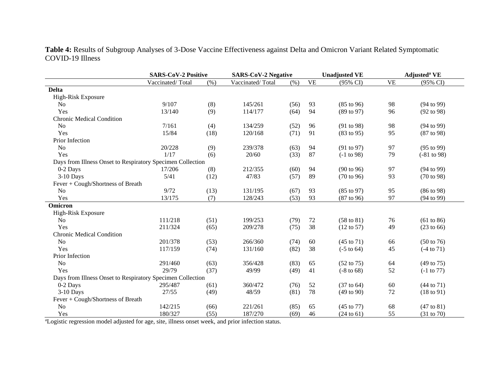**Table 4:** Results of Subgroup Analyses of 3-Dose Vaccine Effectiveness against Delta and Omicron Variant Related Symptomatic COVID-19 Illness

|                                                            | <b>SARS-CoV-2 Positive</b> |      | <b>SARS-CoV-2 Negative</b> |      |           | <b>Unadjusted VE</b>  | Adjusted <sup>a</sup> VE |                       |
|------------------------------------------------------------|----------------------------|------|----------------------------|------|-----------|-----------------------|--------------------------|-----------------------|
|                                                            | Vaccinated/Total           | (% ) | Vaccinated/Total           | (% ) | <b>VE</b> | $(95\% \text{ CI})$   | <b>VE</b>                | (95% CI)              |
| <b>Delta</b>                                               |                            |      |                            |      |           |                       |                          |                       |
| High-Risk Exposure                                         |                            |      |                            |      |           |                       |                          |                       |
| N <sub>o</sub>                                             | 9/107                      | (8)  | 145/261                    | (56) | 93        | $(85 \text{ to } 96)$ | 98                       | (94 to 99)            |
| Yes                                                        | 13/140                     | (9)  | 114/177                    | (64) | 94        | (89 to 97)            | 96                       | $(92 \text{ to } 98)$ |
| <b>Chronic Medical Condition</b>                           |                            |      |                            |      |           |                       |                          |                       |
| N <sub>o</sub>                                             | 7/161                      | (4)  | 134/259                    | (52) | 96        | (91 to 98)            | 98                       | (94 to 99)            |
| Yes                                                        | 15/84                      | (18) | 120/168                    | (71) | 91        | (83 to 95)            | 95                       | (87 to 98)            |
| Prior Infection                                            |                            |      |                            |      |           |                       |                          |                       |
| N <sub>o</sub>                                             | 20/228                     | (9)  | 239/378                    | (63) | 94        | (91 to 97)            | 97                       | $(95 \text{ to } 99)$ |
| Yes                                                        | 1/17                       | (6)  | 20/60                      | (33) | 87        | $(-1 to 98)$          | 79                       | $(-81 to 98)$         |
| Days from Illness Onset to Respiratory Specimen Collection |                            |      |                            |      |           |                       |                          |                       |
| 0-2 Days                                                   | 17/206                     | (8)  | 212/355                    | (60) | 94        | $(90 \text{ to } 96)$ | 97                       | (94 to 99)            |
| $3-10$ Days                                                | 5/41                       | (12) | 47/83                      | (57) | 89        | $(70 \text{ to } 96)$ | 93                       | (70 to 98)            |
| Fever + Cough/Shortness of Breath                          |                            |      |                            |      |           |                       |                          |                       |
| N <sub>o</sub>                                             | 9/72                       | (13) | 131/195                    | (67) | 93        | $(85 \text{ to } 97)$ | 95                       | $(86 \text{ to } 98)$ |
| Yes                                                        | 13/175                     | (7)  | 128/243                    | (53) | 93        | (87 to 96)            | 97                       | (94 to 99)            |
| Omicron                                                    |                            |      |                            |      |           |                       |                          |                       |
| High-Risk Exposure                                         |                            |      |                            |      |           |                       |                          |                       |
| N <sub>0</sub>                                             | 111/218                    | (51) | 199/253                    | (79) | 72        | $(58 \text{ to } 81)$ | 76                       | (61 to 86)            |
| Yes                                                        | 211/324                    | (65) | 209/278                    | (75) | 38        | $(12 \text{ to } 57)$ | 49                       | (23 to 66)            |
| <b>Chronic Medical Condition</b>                           |                            |      |                            |      |           |                       |                          |                       |
| N <sub>o</sub>                                             | 201/378                    | (53) | 266/360                    | (74) | 60        | $(45 \text{ to } 71)$ | 66                       | $(50 \text{ to } 76)$ |
| Yes                                                        | 117/159                    | (74) | 131/160                    | (82) | 38        | $(-5 \text{ to } 64)$ | 45                       | $(-4 \text{ to } 71)$ |
| Prior Infection                                            |                            |      |                            |      |           |                       |                          |                       |
| N <sub>o</sub>                                             | 291/460                    | (63) | 356/428                    | (83) | 65        | $(52 \text{ to } 75)$ | 64                       | $(49 \text{ to } 75)$ |
| Yes                                                        | 29/79                      | (37) | 49/99                      | (49) | 41        | $(-8 \text{ to } 68)$ | 52                       | $(-1 \text{ to } 77)$ |
| Days from Illness Onset to Respiratory Specimen Collection |                            |      |                            |      |           |                       |                          |                       |
| 0-2 Days                                                   | 295/487                    | (61) | 360/472                    | (76) | 52        | $(37 \text{ to } 64)$ | 60                       | $(44 \text{ to } 71)$ |
| $3-10$ Days                                                | 27/55                      | (49) | 48/59                      | (81) | 78        | (49 to 90)            | 72                       | $(18 \text{ to } 91)$ |
| Fever + Cough/Shortness of Breath                          |                            |      |                            |      |           |                       |                          |                       |
| N <sub>o</sub>                                             | 142/215                    | (66) | 221/261                    | (85) | 65        | $(45 \text{ to } 77)$ | 68                       | $(47 \text{ to } 81)$ |
| Yes                                                        | 180/327                    | (55) | 187/270                    | (69) | 46        | $(24 \text{ to } 61)$ | 55                       | (31 to 70)            |

<sup>a</sup>Logistic regression model adjusted for age, site, illness onset week, and prior infection status.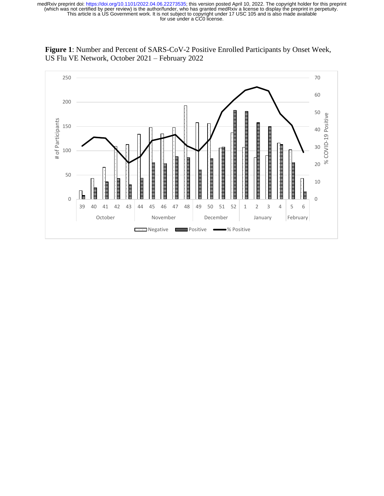

**Figure 1**: Number and Percent of SARS-CoV-2 Positive Enrolled Participants by Onset Week, US Flu VE Network, October 2021 – February 2022